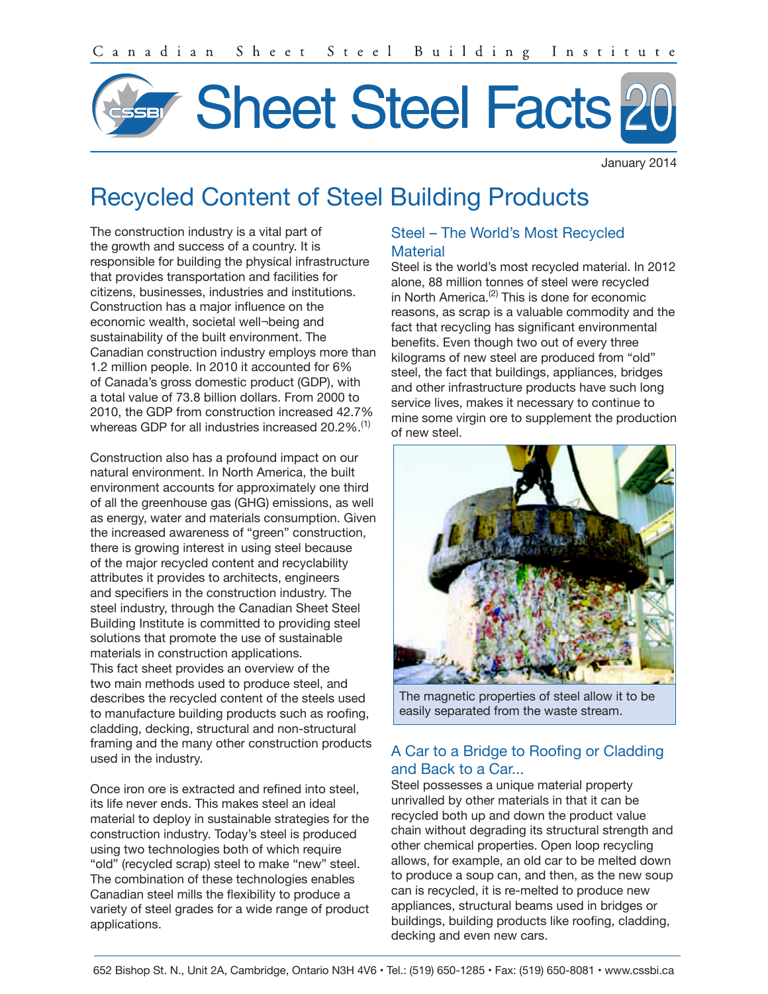# Sheet Steel Facts 20

January 2014

# Recycled Content of Steel Building Products

The construction industry is a vital part of the growth and success of a country. It is responsible for building the physical infrastructure that provides transportation and facilities for citizens, businesses, industries and institutions. Construction has a major influence on the economic wealth, societal well¬being and sustainability of the built environment. The Canadian construction industry employs more than 1.2 million people. In 2010 it accounted for 6% of Canada's gross domestic product (GDP), with a total value of 73.8 billion dollars. From 2000 to 2010, the GDP from construction increased 42.7% whereas GDP for all industries increased 20.2%.<sup>(1)</sup>

Construction also has a profound impact on our natural environment. In North America, the built environment accounts for approximately one third of all the greenhouse gas (GHG) emissions, as well as energy, water and materials consumption. Given the increased awareness of "green" construction, there is growing interest in using steel because of the major recycled content and recyclability attributes it provides to architects, engineers and specifiers in the construction industry. The steel industry, through the Canadian Sheet Steel Building Institute is committed to providing steel solutions that promote the use of sustainable materials in construction applications. This fact sheet provides an overview of the two main methods used to produce steel, and describes the recycled content of the steels used to manufacture building products such as roofing, cladding, decking, structural and non-structural framing and the many other construction products used in the industry.

Once iron ore is extracted and refined into steel, its life never ends. This makes steel an ideal material to deploy in sustainable strategies for the construction industry. Today's steel is produced using two technologies both of which require "old" (recycled scrap) steel to make "new" steel. The combination of these technologies enables Canadian steel mills the flexibility to produce a variety of steel grades for a wide range of product applications.

## Steel – The World's Most Recycled **Material**

Steel is the world's most recycled material. In 2012 alone, 88 million tonnes of steel were recycled in North America.<sup>(2)</sup> This is done for economic reasons, as scrap is a valuable commodity and the fact that recycling has significant environmental benefits. Even though two out of every three kilograms of new steel are produced from "old" steel, the fact that buildings, appliances, bridges and other infrastructure products have such long service lives, makes it necessary to continue to mine some virgin ore to supplement the production of new steel.



The magnetic properties of steel allow it to be easily separated from the waste stream.

# A Car to a Bridge to Roofing or Cladding and Back to a Car...

Steel possesses a unique material property unrivalled by other materials in that it can be recycled both up and down the product value chain without degrading its structural strength and other chemical properties. Open loop recycling allows, for example, an old car to be melted down to produce a soup can, and then, as the new soup can is recycled, it is re-melted to produce new appliances, structural beams used in bridges or buildings, building products like roofing, cladding, decking and even new cars.